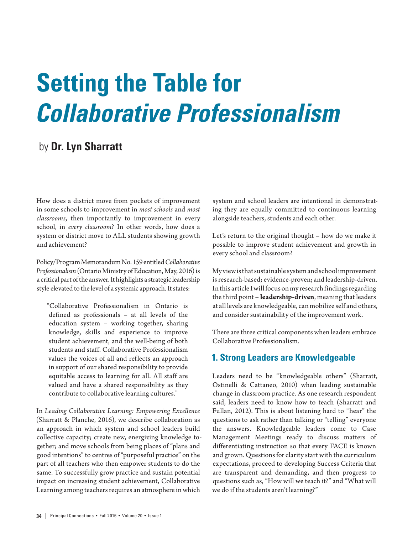# **Setting the Table for**  *Collaborative Professionalism*

# by **Dr. Lyn Sharratt**

How does a district move from pockets of improvement in some schools to improvement in *most schools* and *most classrooms*, then importantly to improvement in every school, in *every classroom*? In other words, how does a system or district move to ALL students showing growth and achievement?

Policy/Program Memorandum No. 159 entitled *Collaborative Professionalism* (Ontario Ministry of Education, May, 2016) is a critical part of the answer. It highlights a strategic leadership style elevated to the level of a systemic approach. It states:

"Collaborative Professionalism in Ontario is defined as professionals – at all levels of the education system – working together, sharing knowledge, skills and experience to improve student achievement, and the well-being of both students and staff. Collaborative Professionalism values the voices of all and reflects an approach in support of our shared responsibility to provide equitable access to learning for all. All staff are valued and have a shared responsibility as they contribute to collaborative learning cultures."

In *Leading Collaborative Learning: Empowering Excellence* (Sharratt & Planche, 2016), we describe collaboration as an approach in which system and school leaders build collective capacity; create new, energizing knowledge together; and move schools from being places of "plans and good intentions" to centres of "purposeful practice" on the part of all teachers who then empower students to do the same. To successfully grow practice and sustain potential impact on increasing student achievement, Collaborative Learning among teachers requires an atmosphere in which

system and school leaders are intentional in demonstrating they are equally committed to continuous learning alongside teachers, students and each other.

Let's return to the original thought – how do we make it possible to improve student achievement and growth in every school and classroom?

My view is that sustainable system and school improvement is research-based; evidence-proven; and leadership-driven. In this article I will focus on my research findings regarding the third point – **leadership-driven**, meaning that leaders at all levels are knowledgeable, can mobilize self and others, and consider sustainability of the improvement work.

There are three critical components when leaders embrace Collaborative Professionalism.

#### **1. Strong Leaders are Knowledgeable**

Leaders need to be "knowledgeable others" (Sharratt, Ostinelli & Cattaneo, 2010) when leading sustainable change in classroom practice. As one research respondent said, leaders need to know how to teach (Sharratt and Fullan, 2012). This is about listening hard to "hear" the questions to ask rather than talking or "telling" everyone the answers. Knowledgeable leaders come to Case Management Meetings ready to discuss matters of differentiating instruction so that every FACE is known and grown. Questions for clarity start with the curriculum expectations, proceed to developing Success Criteria that are transparent and demanding, and then progress to questions such as, "How will we teach it?" and "What will we do if the students aren't learning?"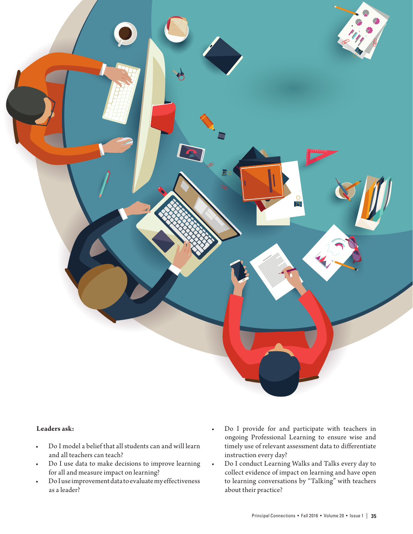

#### **Leaders ask:**

- • Do I model a belief that all students can and will learn and all teachers can teach?
- Do I use data to make decisions to improve learning for all and measure impact on learning?
- Do I use improvement data to evaluate my effectiveness as a leader?
- • Do I provide for and participate with teachers in ongoing Professional Learning to ensure wise and timely use of relevant assessment data to differentiate instruction every day?
- • Do I conduct Learning Walks and Talks every day to collect evidence of impact on learning and have open to learning conversations by "Talking" with teachers about their practice?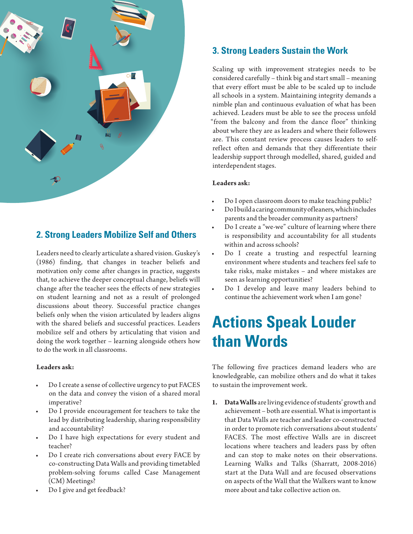

## **2. Strong Leaders Mobilize Self and Others**

Leaders need to clearly articulate a shared vision. Guskey's (1986) finding, that changes in teacher beliefs and motivation only come after changes in practice, suggests that, to achieve the deeper conceptual change, beliefs will change after the teacher sees the effects of new strategies on student learning and not as a result of prolonged discussions about theory. Successful practice changes beliefs only when the vision articulated by leaders aligns with the shared beliefs and successful practices. Leaders mobilize self and others by articulating that vision and doing the work together – learning alongside others how to do the work in all classrooms.

#### **Leaders ask:**

- Do I create a sense of collective urgency to put FACES on the data and convey the vision of a shared moral imperative?
- Do I provide encouragement for teachers to take the lead by distributing leadership, sharing responsibility and accountability?
- Do I have high expectations for every student and teacher?
- Do I create rich conversations about every FACE by co-constructing Data Walls and providing timetabled problem-solving forums called Case Management (CM) Meetings?
- Do I give and get feedback?

## **3. Strong Leaders Sustain the Work**

Scaling up with improvement strategies needs to be considered carefully – think big and start small – meaning that every effort must be able to be scaled up to include all schools in a system. Maintaining integrity demands a nimble plan and continuous evaluation of what has been achieved. Leaders must be able to see the process unfold "from the balcony and from the dance floor" thinking about where they are as leaders and where their followers are. This constant review process causes leaders to selfreflect often and demands that they differentiate their leadership support through modelled, shared, guided and interdependent stages.

#### **Leaders ask:**

- Do I open classroom doors to make teaching public?
- Do I build a caring community of leaners, which includes parents and the broader community as partners?
- Do I create a "we-we" culture of learning where there is responsibility and accountability for all students within and across schools?
- • Do I create a trusting and respectful learning environment where students and teachers feel safe to take risks, make mistakes – and where mistakes are seen as learning opportunities?
- • Do I develop and leave many leaders behind to continue the achievement work when I am gone?

# **Actions Speak Louder than Words**

The following five practices demand leaders who are knowledgeable, can mobilize others and do what it takes to sustain the improvement work.

**1. Data Walls** are living evidence of students' growth and achievement – both are essential. What is important is that Data Walls are teacher and leader co-constructed in order to promote rich conversations about students' FACES. The most effective Walls are in discreet locations where teachers and leaders pass by often and can stop to make notes on their observations. Learning Walks and Talks (Sharratt, 2008-2016) start at the Data Wall and are focused observations on aspects of the Wall that the Walkers want to know more about and take collective action on.